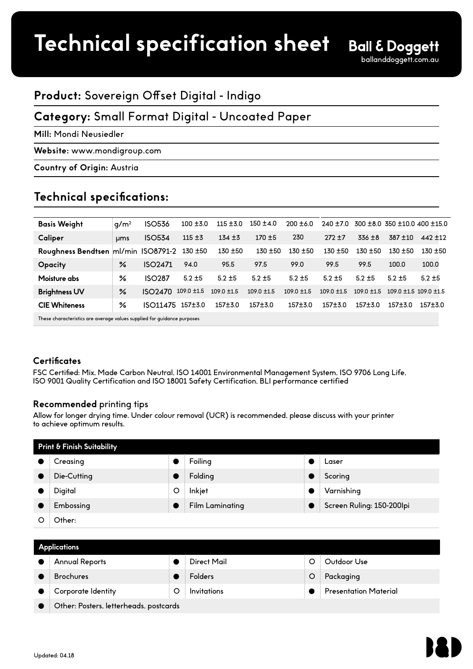## **Product:** Sovereign Offset Digital - Indigo

## **Category:** Small Format Digital - Uncoated Paper

**Mill:** Mondi Neusiedler

**Website:** www.mondigroup.com

**Country of Origin:** Austria

## **Technical specifications:**

| <b>Basis Weight</b>                                                     | q/m <sup>2</sup> | <b>ISO536</b>       | $100 + 3.0$     | $115 + 30$      | $150 \pm 4.0$   | $200 + 6.0$     | $240 + 7.0$     |                 | $300 \pm 8.0$ 350 $\pm 10.0$ 400 $\pm 15.0$ |                           |
|-------------------------------------------------------------------------|------------------|---------------------|-----------------|-----------------|-----------------|-----------------|-----------------|-----------------|---------------------------------------------|---------------------------|
| Caliper                                                                 | <b>µms</b>       | <b>ISO534</b>       | $115 + 3$       | $134 + 3$       | $170 + 5$       | 230             | $272 + 7$       | $336 \pm 8$     | $387 + 10$                                  | $442 + 12$                |
| Roughness Bendtsen ml/min ISO8791-2                                     |                  |                     | $130 + 50$      | $130 + 50$      | $130 + 50$      | $130 + 50$      | $130 + 50$      | $130 + 50$      | $130 + 50$                                  | $130 + 50$                |
| <b>Opacity</b>                                                          | ℅                | ISO <sub>2471</sub> | 94.0            | 95.5            | 97.5            | 99.0            | 99.5            | 99.5            | 100.0                                       | 100.0                     |
| Moisture abs                                                            | ℅                | <b>ISO287</b>       | $5.2 + 5$       | $5.2 + 5$       | $5.2 + 5$       | $5.2 + 5$       | $5.2 + 5$       | $5.2 + 5$       | $5.2 + 5$                                   | $5.2 + 5$                 |
| <b>Brightness UV</b>                                                    | $\frac{9}{6}$    | <b>ISO2470</b>      | $109.0 \pm 1.5$ | $109.0 \pm 1.5$ | $109.0 \pm 1.5$ | $109.0 \pm 1.5$ | $109.0 \pm 1.5$ | $109.0 \pm 1.5$ |                                             | $109.0 + 1.5$ 109.0 + 1.5 |
| <b>CIE Whiteness</b>                                                    | ℅                | ISO11475 157±3.0    |                 | $157 + 3.0$     | 157±3.0         | $157 + 3.0$     | $157 + 3.0$     | $157 + 3.0$     | $157 + 3.0$                                 | $157 + 3.0$               |
| These characteristics are average values supplied for quidance purposes |                  |                     |                 |                 |                 |                 |                 |                 |                                             |                           |

#### **Certificates**

FSC Certified: Mix, Made Carbon Neutral, ISO 14001 Environmental Management System, ISO 9706 Long Life, ISO 9001 Quality Certification and ISO 18001 Safety Certification, BLI performance certified

#### **Recommended** printing tips

Allow for longer drying time. Under colour removal (UCR) is recommended, please discuss with your printer to achieve optimum results.

| Print & Finish Suitability |             |   |                        |  |                           |  |  |
|----------------------------|-------------|---|------------------------|--|---------------------------|--|--|
|                            | Creasing    |   | Foiling                |  | Laser                     |  |  |
|                            | Die-Cutting |   | Folding                |  | Scoring                   |  |  |
|                            | Digital     | O | Inkjet                 |  | Varnishing                |  |  |
|                            | Embossing   |   | <b>Film Laminating</b> |  | Screen Ruling: 150-200lpi |  |  |
|                            | Other:      |   |                        |  |                           |  |  |

| <b>Applications</b> |                                        |   |                |  |                              |  |  |
|---------------------|----------------------------------------|---|----------------|--|------------------------------|--|--|
|                     | <b>Annual Reports</b>                  |   | Direct Mail    |  | Outdoor Use                  |  |  |
|                     | <b>Brochures</b>                       |   | <b>Folders</b> |  | Packaging                    |  |  |
|                     | Corporate Identity                     | O | Invitations    |  | <b>Presentation Material</b> |  |  |
|                     | Other: Posters, letterheads, postcards |   |                |  |                              |  |  |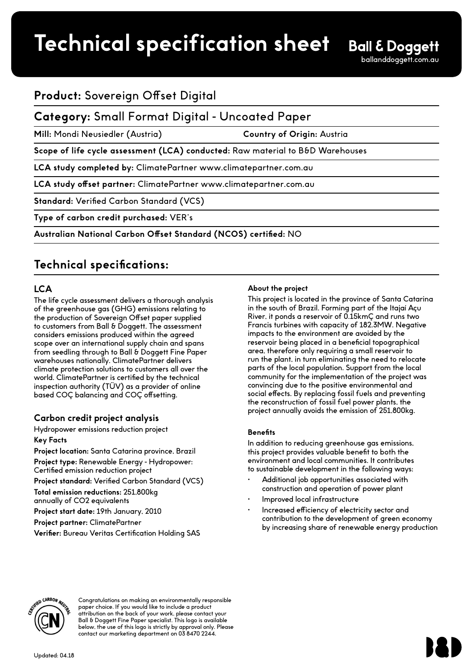# **Product spec sheet Technical specification sheet**

# **Product:** Sovereign Offset Digital

### **Category:** Small Format Digital - Uncoated Paper

**Mill:** Mondi Neusiedler (Austria) **Country of Origin:** Austria

Scope of life cycle assessment (LCA) conducted: Raw material to B&D Warehouses

**LCA study completed by:** ClimatePartner www.climatepartner.com.au

**LCA study offset partner:** ClimatePartner www.climatepartner.com.au

**Standard:** Verified Carbon Standard (VCS)

**Type of carbon credit purchased:** VER's

**Australian National Carbon Offset Standard (NCOS) certified:** NO

# **Technical specifications:**

#### **LCA**

The life cycle assessment delivers a thorough analysis of the greenhouse gas (GHG) emissions relating to the production of Sovereign Offset paper supplied to customers from Ball & Doggett. The assessment considers emissions produced within the agreed scope over an international supply chain and spans from seedling through to Ball & Doggett Fine Paper warehouses nationally. ClimatePartner delivers climate protection solutions to customers all over the world. ClimatePartner is certified by the technical inspection authority (TÜV) as a provider of online based COÇ balancing and COÇ offsetting.

#### **Carbon credit project analysis**

Hydropower emissions reduction project **Key Facts**

**Project location:** Santa Catarina province, Brazil

**Project type:** Renewable Energy - Hydropower: Certified emission reduction project

**Project standard:** Verified Carbon Standard (VCS)

**Total emission reductions:** 251,800kg

annually of CO2 equivalents

**Project start date:** 19th January, 2010

**Project partner:** ClimatePartner

**Verifier:** Bureau Veritas Certification Holding SAS

#### **About the project**

This project is located in the province of Santa Catarina in the south of Brazil. Forming part of the Itajaí Açu River, it ponds a reservoir of 0.15kmÇ and runs two Francis turbines with capacity of 182.3MW. Negative impacts to the environment are avoided by the reservoir being placed in a beneficial topographical area, therefore only requiring a small reservoir to run the plant, in turn eliminating the need to relocate parts of the local population. Support from the local community for the implementation of the project was convincing due to the positive environmental and social effects. By replacing fossil fuels and preventing the reconstruction of fossil fuel power plants, the project annually avoids the emission of 251,800kg.

#### **Benefits**

In addition to reducing greenhouse gas emissions, this project provides valuable benefit to both the environment and local communities. It contributes to sustainable development in the following ways:

- Additional job opportunities associated with construction and operation of power plant
- Improved local infrastructure
- Increased efficiency of electricity sector and contribution to the development of green economy by increasing share of renewable energy production



Congratulations on making an environmentally responsible paper choice. If you would like to include a product attribution on the back of your work, please contact your Ball & Doggett Fine Paper specialist. This logo is available below, the use of this logo is strictly by approval only. Please contact our marketing department on 03 8470 2244.